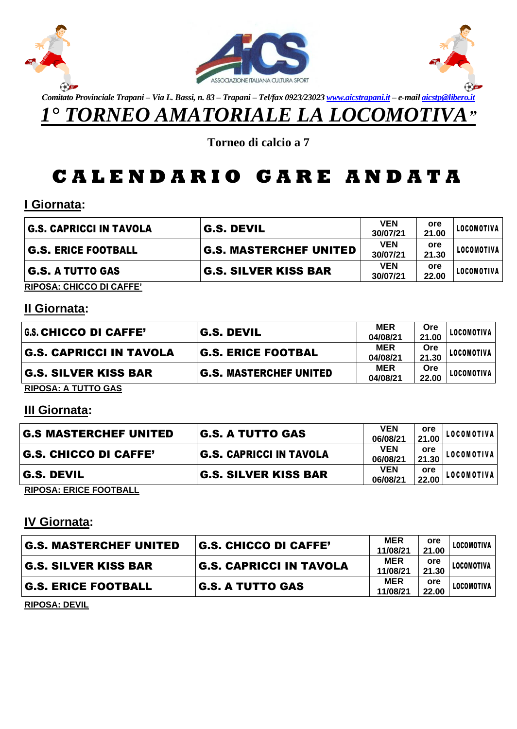





*Comitato Provinciale Trapani – Via L. Bassi, n. 83 – Trapani – Tel/fax 0923/2302[3 www.aicstrapani.it](http://www.aicstrapani.it/) – e-mai[l aicstp@libero.it](mailto:aicstp@libero.it)*

*1° TORNEO AMATORIALE LA LOCOMOTIVA"*

**Torneo di calcio a 7**

# **C A L E N D A R I O G A R E A N D A T A**

#### **I Giornata:**

| <b>G.S. CAPRICCI IN TAVOLA</b> | <b>G.S. DEVIL</b>             | <b>VEN</b><br>30/07/21 | ore<br>21.00 | LOCOMOTIVA |
|--------------------------------|-------------------------------|------------------------|--------------|------------|
| G.S. ERICE FOOTBALL            | <b>G.S. MASTERCHEF UNITED</b> | <b>VEN</b><br>30/07/21 | ore<br>21.30 | LOCOMOTIVA |
| <b>G.S. A TUTTO GAS</b>        | <b>G.S. SILVER KISS BAR</b>   | <b>VEN</b><br>30/07/21 | ore<br>22.00 | LOCOMOTIVA |

**RIPOSA: CHICCO DI CAFFE'**

#### **II Giornata:**

| G.S. CHICCO DI CAFFE'   | <b>G.S. DEVIL</b>             | <b>MER</b><br>04/08/21 | <b>Ore</b><br>21.00 | LOCOMOTIVA          |
|-------------------------|-------------------------------|------------------------|---------------------|---------------------|
| G.S. CAPRICCI IN TAVOLA | <b>G.S. ERICE FOOTBAL</b>     | <b>MER</b><br>04/08/21 | <b>Ore</b><br>21.30 | <b>LOCOMOTIVA  </b> |
| G.S. SILVER KISS BAR    | <b>G.S. MASTERCHEF UNITED</b> | <b>MER</b><br>04/08/21 | <b>Ore</b><br>22.00 | LOCOMOTIVA          |

**RIPOSA: A TUTTO GAS**

#### **III Giornata:**

| <b>G.S MASTERCHEF UNITED</b> | <b>G.S. A TUTTO GAS</b>        | <b>VEN</b><br>06/08/21 | <b>ore</b><br>21.00 | <b>LOCOMOTIVA</b> |
|------------------------------|--------------------------------|------------------------|---------------------|-------------------|
| <b>G.S. CHICCO DI CAFFE'</b> | <b>G.S. CAPRICCI IN TAVOLA</b> | <b>VEN</b><br>06/08/21 | <b>ore</b><br>21.30 | <b>LOCOMOTIVA</b> |
| <b>G.S. DEVIL</b>            | <b>G.S. SILVER KISS BAR</b>    | <b>VEN</b><br>06/08/21 | ore<br>22.00        | LOCOMOTIVA        |

**RIPOSA: ERICE FOOTBALL**

### **IV Giornata:**

| <b>G.S. MASTERCHEF UNITED</b> | <b>G.S. CHICCO DI CAFFE'</b>   | <b>MER</b><br>11/08/21 | ore<br>21.00 | LOCOMOTIVA |
|-------------------------------|--------------------------------|------------------------|--------------|------------|
| <b>G.S. SILVER KISS BAR</b>   | <b>G.S. CAPRICCI IN TAVOLA</b> | <b>MER</b><br>11/08/21 | ore<br>21.30 | LOCOMOTIVA |
| <b>G.S. ERICE FOOTBALL</b>    | <b>G.S. A TUTTO GAS</b>        | <b>MER</b><br>11/08/21 | ore<br>22.00 | LOCOMOTIVA |

**RIPOSA: DEVIL**